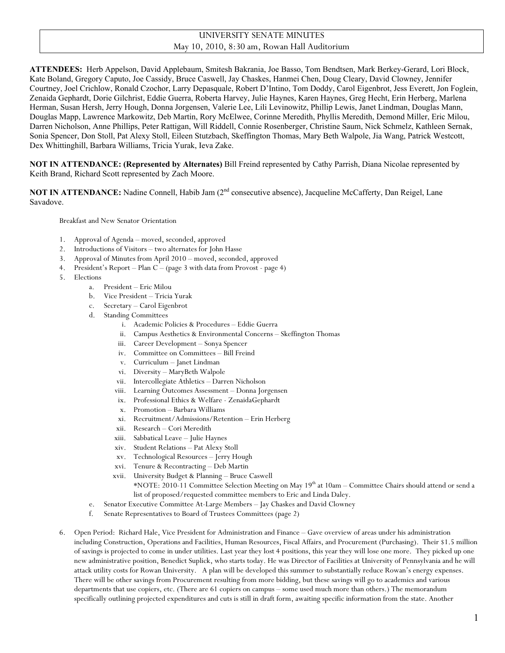## UNIVERSITY SENATE MINUTES May 10, 2010, 8:30 am, Rowan Hall Auditorium

**ATTENDEES:** Herb Appelson, David Applebaum, Smitesh Bakrania, Joe Basso, Tom Bendtsen, Mark Berkey-Gerard, Lori Block, Kate Boland, Gregory Caputo, Joe Cassidy, Bruce Caswell, Jay Chaskes, Hanmei Chen, Doug Cleary, David Clowney, Jennifer Courtney, Joel Crichlow, Ronald Czochor, Larry Depasquale, Robert D'Intino, Tom Doddy, Carol Eigenbrot, Jess Everett, Jon Foglein, Zenaida Gephardt, Dorie Gilchrist, Eddie Guerra, Roberta Harvey, Julie Haynes, Karen Haynes, Greg Hecht, Erin Herberg, Marlena Herman, Susan Hersh, Jerry Hough, Donna Jorgensen, Valerie Lee, Lili Levinowitz, Phillip Lewis, Janet Lindman, Douglas Mann, Douglas Mapp, Lawrence Markowitz, Deb Martin, Rory McElwee, Corinne Meredith, Phyllis Meredith, Demond Miller, Eric Milou, Darren Nicholson, Anne Phillips, Peter Rattigan, Will Riddell, Connie Rosenberger, Christine Saum, Nick Schmelz, Kathleen Sernak, Sonia Spencer, Don Stoll, Pat Alexy Stoll, Eileen Stutzbach, Skeffington Thomas, Mary Beth Walpole, Jia Wang, Patrick Westcott, Dex Whittinghill, Barbara Williams, Tricia Yurak, Ieva Zake.

**NOT IN ATTENDANCE: (Represented by Alternates)** Bill Freind represented by Cathy Parrish, Diana Nicolae represented by Keith Brand, Richard Scott represented by Zach Moore.

**NOT IN ATTENDANCE:** Nadine Connell, Habib Jam (2<sup>nd</sup> consecutive absence), Jacqueline McCafferty, Dan Reigel, Lane Savadove.

Breakfast and New Senator Orientation

- 1. Approval of Agenda moved, seconded, approved
- 2. Introductions of Visitors two alternates for John Hasse
- 3. Approval of Minutes from April 2010 moved, seconded, approved
- 4. President's Report Plan C (page 3 with data from Provost page 4)
- 5. Elections
	- a. President Eric Milou
	- b. Vice President Tricia Yurak
	- c. Secretary Carol Eigenbrot
	- d. Standing Committees
		- i. Academic Policies & Procedures Eddie Guerra
		- ii. Campus Aesthetics & Environmental Concerns Skeffington Thomas
		- iii. Career Development Sonya Spencer
		- iv. Committee on Committees Bill Freind
		- v. Curriculum Janet Lindman
		- vi. Diversity MaryBeth Walpole
		- vii. Intercollegiate Athletics Darren Nicholson
		- viii. Learning Outcomes Assessment Donna Jorgensen
		- ix. Professional Ethics & Welfare ZenaidaGephardt
		- x. Promotion Barbara Williams
		- xi. Recruitment/Admissions/Retention Erin Herberg
		- xii. Research Cori Meredith
		- xiii. Sabbatical Leave Julie Haynes
		- xiv. Student Relations Pat Alexy Stoll
		- xv. Technological Resources Jerry Hough
		- xvi. Tenure & Recontracting Deb Martin
		- xvii. University Budget & Planning Bruce Caswell \*NOTE: 2010-11 Committee Selection Meeting on May 19th at 10am – Committee Chairs should attend or send a list of proposed/requested committee members to Eric and Linda Daley.
	- e. Senator Executive Committee At-Large Members Jay Chaskes and David Clowney
	- f. Senate Representatives to Board of Trustees Committees (page 2)
- 6. Open Period: Richard Hale, Vice President for Administration and Finance Gave overview of areas under his administration including Construction, Operations and Facilities, Human Resources, Fiscal Affairs, and Procurement (Purchasing). Their \$1.5 million of savings is projected to come in under utilities. Last year they lost 4 positions, this year they will lose one more. They picked up one new administrative position, Benedict Suplick, who starts today. He was Director of Facilities at University of Pennsylvania and he will attack utility costs for Rowan University. A plan will be developed this summer to substantially reduce Rowan's energy expenses. There will be other savings from Procurement resulting from more bidding, but these savings will go to academics and various departments that use copiers, etc. (There are 61 copiers on campus – some used much more than others.) The memorandum specifically outlining projected expenditures and cuts is still in draft form, awaiting specific information from the state. Another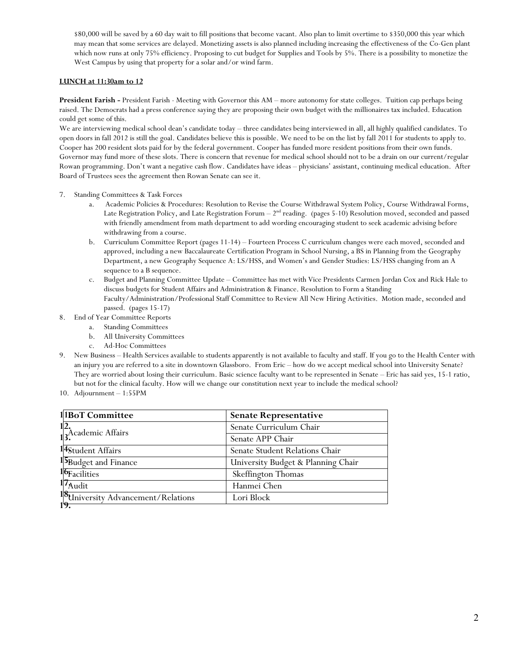\$80,000 will be saved by a 60 day wait to fill positions that become vacant. Also plan to limit overtime to \$350,000 this year which may mean that some services are delayed. Monetizing assets is also planned including increasing the effectiveness of the Co-Gen plant which now runs at only 75% efficiency. Proposing to cut budget for Supplies and Tools by 5%. There is a possibility to monetize the West Campus by using that property for a solar and/or wind farm.

#### **LUNCH at 11:30am to 12**

**President Farish -** President Farish - Meeting with Governor this AM – more autonomy for state colleges. Tuition cap perhaps being raised. The Democrats had a press conference saying they are proposing their own budget with the millionaires tax included. Education could get some of this.

We are interviewing medical school dean's candidate today – three candidates being interviewed in all, all highly qualified candidates. To open doors in fall 2012 is still the goal. Candidates believe this is possible. We need to be on the list by fall 2011 for students to apply to. Cooper has 200 resident slots paid for by the federal government. Cooper has funded more resident positions from their own funds. Governor may fund more of these slots. There is concern that revenue for medical school should not to be a drain on our current/regular Rowan programming. Don't want a negative cash flow. Candidates have ideas – physicians' assistant, continuing medical education. After Board of Trustees sees the agreement then Rowan Senate can see it.

- 7. Standing Committees & Task Forces
	- a. Academic Policies & Procedures: Resolution to Revise the Course Withdrawal System Policy, Course Withdrawal Forms, Late Registration Policy, and Late Registration Forum  $-2<sup>nd</sup>$  reading. (pages 5-10) Resolution moved, seconded and passed with friendly amendment from math department to add wording encouraging student to seek academic advising before withdrawing from a course.
	- b. Curriculum Committee Report (pages 11-14) Fourteen Process C curriculum changes were each moved, seconded and approved, including a new Baccalaureate Certification Program in School Nursing, a BS in Planning from the Geography Department, a new Geography Sequence A: LS/HSS, and Women's and Gender Studies: LS/HSS changing from an A sequence to a B sequence.
	- c. Budget and Planning Committee Update Committee has met with Vice Presidents Carmen Jordan Cox and Rick Hale to discuss budgets for Student Affairs and Administration & Finance. Resolution to Form a Standing Faculty/Administration/Professional Staff Committee to Review All New Hiring Activities. Motion made, seconded and passed. (pages 15-17)
- 8. End of Year Committee Reports
	- a. Standing Committees
	- b. All University Committees
	- c. Ad-Hoc Committees
- 9. New Business Health Services available to students apparently is not available to faculty and staff. If you go to the Health Center with an injury you are referred to a site in downtown Glassboro. From Eric – how do we accept medical school into University Senate? They are worried about losing their curriculum. Basic science faculty want to be represented in Senate – Eric has said yes, 15-1 ratio, but not for the clinical faculty. How will we change our constitution next year to include the medical school?
- 10. Adjournment 1:55PM

| 11BoT Committee                    | <b>Senate Representative</b>       |  |  |
|------------------------------------|------------------------------------|--|--|
| 12.<br>13.<br>13.                  | Senate Curriculum Chair            |  |  |
|                                    | Senate APP Chair                   |  |  |
| 14Student Affairs                  | Senate Student Relations Chair     |  |  |
| 15Budget and Finance               | University Budget & Planning Chair |  |  |
| 16Facilities                       | Skeffington Thomas                 |  |  |
| 17 <sub>Audio</sub>                | Hanmei Chen                        |  |  |
| 18University Advancement/Relations | Lori Block                         |  |  |
|                                    |                                    |  |  |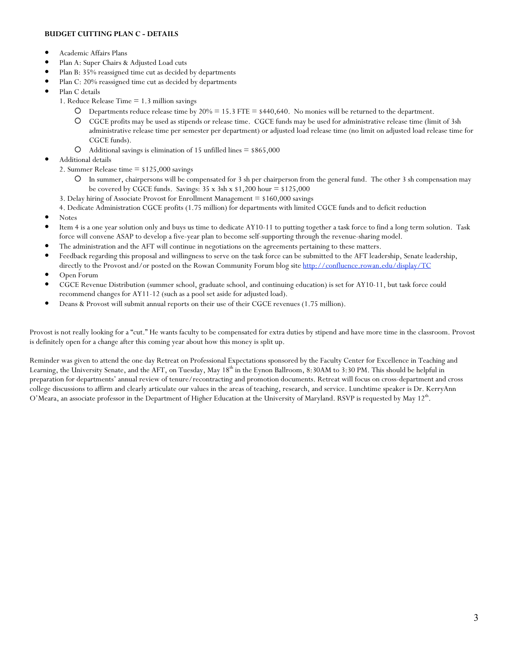#### **BUDGET CUTTING PLAN C - DETAILS**

- Academic Affairs Plans
- Plan A: Super Chairs & Adjusted Load cuts
- Plan B: 35% reassigned time cut as decided by departments
- Plan C: 20% reassigned time cut as decided by departments
- Plan C details
	- 1. Reduce Release Time = 1.3 million savings
		- O Departments reduce release time by  $20\% = 15.3$  FTE = \$440,640. No monies will be returned to the department.
		- CGCE profits may be used as stipends or release time. CGCE funds may be used for administrative release time (limit of 3sh administrative release time per semester per department) or adjusted load release time (no limit on adjusted load release time for CGCE funds).
		- Additional savings is elimination of 15 unfilled lines = \$865,000
- Additional details
	- 2. Summer Release time  $=$  \$125,000 savings
		- In summer, chairpersons will be compensated for 3 sh per chairperson from the general fund. The other 3 sh compensation may be covered by CGCE funds. Savings:  $35 \times 3sh \times 1,200$  hour =  $125,000$
	- 3. Delay hiring of Associate Provost for Enrollment Management = \$160,000 savings

4. Dedicate Administration CGCE profits (1.75 million) for departments with limited CGCE funds and to deficit reduction

- Notes
- Item 4 is a one year solution only and buys us time to dedicate AY10-11 to putting together a task force to find a long term solution. Task force will convene ASAP to develop a five-year plan to become self-supporting through the revenue-sharing model.
- The administration and the AFT will continue in negotiations on the agreements pertaining to these matters.
- Feedback regarding this proposal and willingness to serve on the task force can be submitted to the AFT leadership, Senate leadership, directly to the Provost and/or posted on the Rowan Community Forum blog site http://confluence.rowan.edu/display/TC
- Open Forum
- CGCE Revenue Distribution (summer school, graduate school, and continuing education) is set for AY10-11, but task force could recommend changes for AY11-12 (such as a pool set aside for adjusted load).
- Deans & Provost will submit annual reports on their use of their CGCE revenues (1.75 million).

Provost is not really looking for a "cut." He wants faculty to be compensated for extra duties by stipend and have more time in the classroom. Provost is definitely open for a change after this coming year about how this money is split up.

Reminder was given to attend the one day Retreat on Professional Expectations sponsored by the Faculty Center for Excellence in Teaching and Learning, the University Senate, and the AFT, on Tuesday, May  $18<sup>th</sup>$  in the Eynon Ballroom, 8:30AM to 3:30 PM. This should be helpful in preparation for departments' annual review of tenure/recontracting and promotion documents. Retreat will focus on cross-department and cross college discussions to affirm and clearly articulate our values in the areas of teaching, research, and service. Lunchtime speaker is Dr. KerryAnn O'Meara, an associate professor in the Department of Higher Education at the University of Maryland. RSVP is requested by May 12<sup>th</sup>.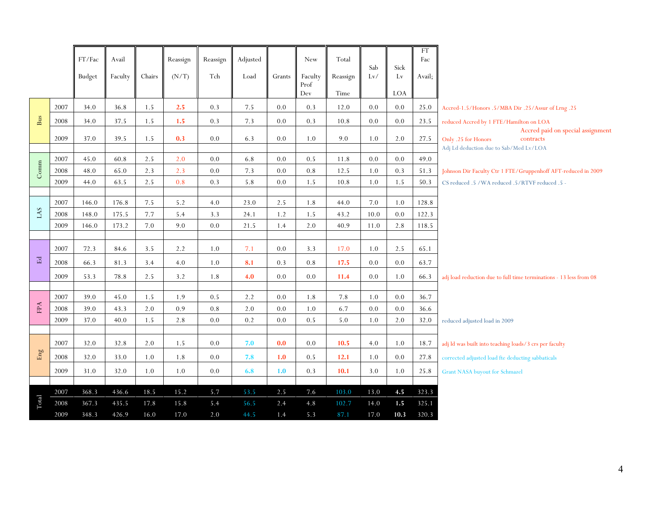|              |      | FT/Fac        | Avail   |        | Reassign | Reassign | Adjusted |         | New                    | Total            | Sab     | Sick             | <b>FT</b><br>Fac |                                                                       |
|--------------|------|---------------|---------|--------|----------|----------|----------|---------|------------------------|------------------|---------|------------------|------------------|-----------------------------------------------------------------------|
|              |      | <b>Budget</b> | Faculty | Chairs | (N/T)    | Tch      | Load     | Grants  | Faculty<br>Prof<br>Dev | Reassign<br>Time | Lv/     | Lv<br><b>LOA</b> | Avail;           |                                                                       |
|              | 2007 | 34.0          | 36.8    | 1.5    | 2.5      | 0.3      | 7.5      | 0.0     | 0.3                    | 12.0             | 0.0     | 0.0              | 25.0             | Accred-1.5/Honors .5/MBA Dir .25/Assur of Lrng .25                    |
| <b>Bus</b>   | 2008 | 34.0          | 37.5    | 1.5    | 1.5      | 0.3      | 7.3      | $0.0\,$ | 0.3                    | 10.8             | $0.0\,$ | 0.0              | 23.5             | reduced Accred by 1 FTE/Hamilton on LOA                               |
|              | 2009 | 37.0          | 39.5    | 1.5    | 0.3      | 0.0      | 6.3      | 0.0     | 1.0                    | 9.0              | 1.0     | 2.0              | 27.5             | Accred paid on special assignment<br>Only .25 for Honors<br>contracts |
|              |      |               |         |        |          |          |          |         |                        |                  |         |                  |                  | Adj Ld deduction due to Sab/Med Lv/LOA                                |
|              | 2007 | 45.0          | 60.8    | 2.5    | 2.0      | 0.0      | 6.8      | 0.0     | 0.5                    | 11.8             | 0.0     | 0.0              | 49.0             |                                                                       |
| Comm         | 2008 | 48.0          | 65.0    | 2.3    | 2.3      | 0.0      | 7.3      | $0.0\,$ | $0.8\,$                | 12.5             | 1.0     | 0.3              | 51.3             | Johnson Dir Faculty Ctr 1 FTE/Gruppenhoff AFT-reduced in 2009         |
|              | 2009 | 44.0          | 63.5    | 2.5    | 0.8      | 0.3      | 5.8      | 0.0     | 1.5                    | 10.8             | 1.0     | 1.5              | 50.3             | CS reduced .5 / WA reduced .5/RTVF reduced .5 -                       |
|              | 2007 | 146.0         | 176.8   | 7.5    | 5.2      | 4.0      | 23.0     | 2.5     | 1.8                    | 44.0             | 7.0     | 1.0              | 128.8            |                                                                       |
| LAS          | 2008 | 148.0         | 175.5   | 7.7    | 5.4      | 3.3      | 24.1     | 1.2     | 1.5                    | 43.2             | 10.0    | 0.0              | 122.3            |                                                                       |
|              | 2009 | 146.0         | 173.2   | 7.0    | 9.0      | 0.0      | 21.5     | 1.4     | 2.0                    | 40.9             | 11.0    | 2.8              | 118.5            |                                                                       |
|              |      |               |         |        |          |          |          |         |                        |                  |         |                  |                  |                                                                       |
|              | 2007 | 72.3          | 84.6    | 3.5    | 2.2      | 1.0      | 7.1      | 0.0     | 3.3                    | 17.0             | 1.0     | 2.5              | 65.1             |                                                                       |
| $\mathbb{E}$ | 2008 | 66.3          | 81.3    | 3.4    | 4.0      | 1.0      | 8.1      | 0.3     | 0.8                    | 17.5             | 0.0     | 0.0              | 63.7             |                                                                       |
|              | 2009 | 53.3          | 78.8    | 2.5    | 3.2      | 1.8      | 4.0      | 0.0     | 0.0                    | 11.4             | 0.0     | 1.0              | 66.3             | adj load reduction due to full time terminations - 13 less from 08    |
|              | 2007 | 39.0          | 45.0    | 1.5    | 1.9      | 0.5      | 2.2      | 0.0     | 1.8                    | 7.8              | 1.0     | 0.0              | 36.7             |                                                                       |
| FPA          | 2008 | 39.0          | 43.3    | 2.0    | 0.9      | 0.8      | 2.0      | 0.0     | 1.0                    | 6.7              | 0.0     | 0.0              | 36.6             |                                                                       |
|              | 2009 | 37.0          | 40.0    | 1.5    | 2.8      | 0.0      | $0.2\,$  | $0.0\,$ | 0.5                    | 5.0              | 1.0     | 2.0              | 32.0             | reduced adjusted load in 2009                                         |
|              |      |               |         |        |          |          |          |         |                        |                  |         |                  |                  |                                                                       |
|              | 2007 | 32.0          | 32.8    | 2.0    | 1.5      | 0.0      | 7.0      | 0.0     | 0.0                    | 10.5             | 4.0     | 1.0              | 18.7             | adj ld was built into teaching loads/3 crs per faculty                |
| Eng          | 2008 | 32.0          | 33.0    | 1.0    | 1.8      | 0.0      | 7.8      | 1.0     | 0.5                    | 12.1             | 1.0     | 0.0              | 27.8             | corrected adjusted load fte deducting sabbaticals                     |
|              | 2009 | 31.0          | 32.0    | 1.0    | $1.0\,$  | 0.0      | 6.8      | 1.0     | 0.3                    | 10.1             | 3.0     | 1.0              | 25.8             | Grant NASA buyout for Schmazel                                        |
|              |      |               |         |        |          |          |          |         |                        |                  |         |                  |                  |                                                                       |
|              | 2007 | 368.3         | 436.6   | 18.5   | 15.2     | 5.7      | 53.5     | 2.5     | 7.6                    | 103.0            | 13.0    | 4.5              | 323.3            |                                                                       |
| Total        | 2008 | 367.3         | 435.5   | 17.8   | 15.8     | 5.4      | 56.5     | 2.4     | 4.8                    | 102.7            | 14.0    | 1.5              | 325.1            |                                                                       |
|              | 2009 | 348.3         | 426.9   | 16.0   | 17.0     | 2.0      | 44.5     | 1.4     | 5.3                    | 87.1             | 17.0    | 10.3             | 320.3            |                                                                       |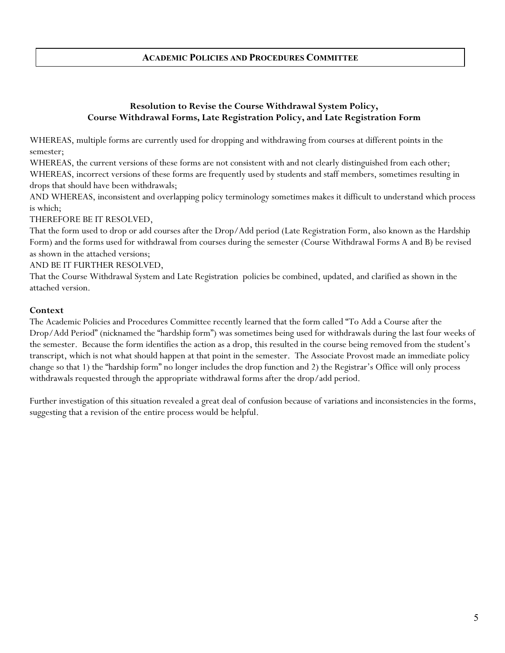# **ACADEMIC POLICIES AND PROCEDURES COMMITTEE**

# **Resolution to Revise the Course Withdrawal System Policy, Course Withdrawal Forms, Late Registration Policy, and Late Registration Form**

WHEREAS, multiple forms are currently used for dropping and withdrawing from courses at different points in the semester;

WHEREAS, the current versions of these forms are not consistent with and not clearly distinguished from each other; WHEREAS, incorrect versions of these forms are frequently used by students and staff members, sometimes resulting in drops that should have been withdrawals;

AND WHEREAS, inconsistent and overlapping policy terminology sometimes makes it difficult to understand which process is which;

THEREFORE BE IT RESOLVED,

That the form used to drop or add courses after the Drop/Add period (Late Registration Form, also known as the Hardship Form) and the forms used for withdrawal from courses during the semester (Course Withdrawal Forms A and B) be revised as shown in the attached versions;

AND BE IT FURTHER RESOLVED,

That the Course Withdrawal System and Late Registration policies be combined, updated, and clarified as shown in the attached version.

### **Context**

The Academic Policies and Procedures Committee recently learned that the form called "To Add a Course after the Drop/Add Period" (nicknamed the "hardship form") was sometimes being used for withdrawals during the last four weeks of the semester. Because the form identifies the action as a drop, this resulted in the course being removed from the student's transcript, which is not what should happen at that point in the semester. The Associate Provost made an immediate policy change so that 1) the "hardship form" no longer includes the drop function and 2) the Registrar's Office will only process withdrawals requested through the appropriate withdrawal forms after the drop/add period.

Further investigation of this situation revealed a great deal of confusion because of variations and inconsistencies in the forms, suggesting that a revision of the entire process would be helpful.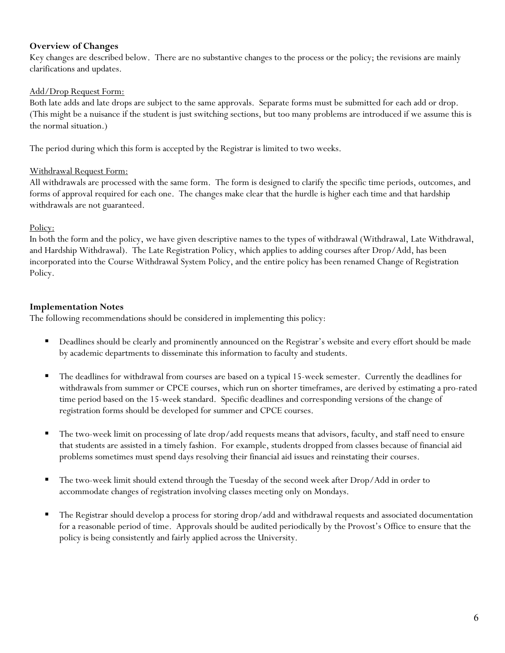# **Overview of Changes**

Key changes are described below. There are no substantive changes to the process or the policy; the revisions are mainly clarifications and updates.

# Add/Drop Request Form:

Both late adds and late drops are subject to the same approvals. Separate forms must be submitted for each add or drop. (This might be a nuisance if the student is just switching sections, but too many problems are introduced if we assume this is the normal situation.)

The period during which this form is accepted by the Registrar is limited to two weeks.

## Withdrawal Request Form:

All withdrawals are processed with the same form. The form is designed to clarify the specific time periods, outcomes, and forms of approval required for each one. The changes make clear that the hurdle is higher each time and that hardship withdrawals are not guaranteed.

## Policy:

In both the form and the policy, we have given descriptive names to the types of withdrawal (Withdrawal, Late Withdrawal, and Hardship Withdrawal). The Late Registration Policy, which applies to adding courses after Drop/Add, has been incorporated into the Course Withdrawal System Policy, and the entire policy has been renamed Change of Registration Policy.

# **Implementation Notes**

The following recommendations should be considered in implementing this policy:

- Deadlines should be clearly and prominently announced on the Registrar's website and every effort should be made by academic departments to disseminate this information to faculty and students.
- The deadlines for withdrawal from courses are based on a typical 15-week semester. Currently the deadlines for withdrawals from summer or CPCE courses, which run on shorter timeframes, are derived by estimating a pro-rated time period based on the 15-week standard. Specific deadlines and corresponding versions of the change of registration forms should be developed for summer and CPCE courses.
- The two-week limit on processing of late drop/add requests means that advisors, faculty, and staff need to ensure that students are assisted in a timely fashion. For example, students dropped from classes because of financial aid problems sometimes must spend days resolving their financial aid issues and reinstating their courses.
- The two-week limit should extend through the Tuesday of the second week after Drop/Add in order to accommodate changes of registration involving classes meeting only on Mondays.
- The Registrar should develop a process for storing drop/add and withdrawal requests and associated documentation for a reasonable period of time. Approvals should be audited periodically by the Provost's Office to ensure that the policy is being consistently and fairly applied across the University.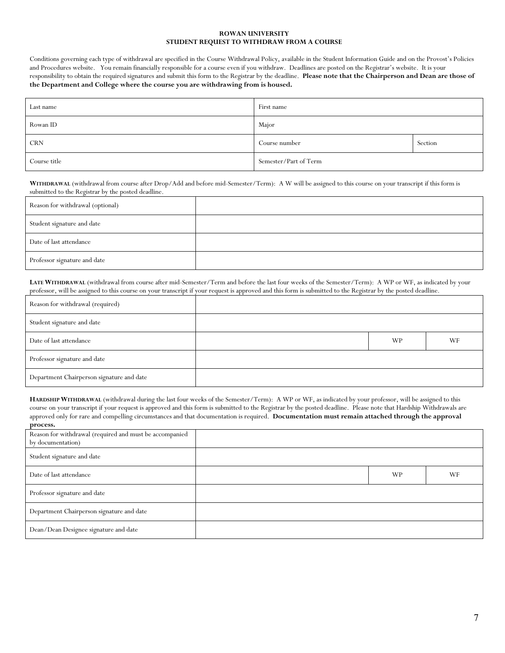#### **ROWAN UNIVERSITY STUDENT REQUEST TO WITHDRAW FROM A COURSE**

Conditions governing each type of withdrawal are specified in the Course Withdrawal Policy, available in the Student Information Guide and on the Provost's Policies and Procedures website. You remain financially responsible for a course even if you withdraw. Deadlines are posted on the Registrar's website. It is your responsibility to obtain the required signatures and submit this form to the Registrar by the deadline. **Please note that the Chairperson and Dean are those of the Department and College where the course you are withdrawing from is housed.**

| Last name    | First name            |         |
|--------------|-----------------------|---------|
| Rowan ID     | Major                 |         |
| <b>CRN</b>   | Course number         | Section |
| Course title | Semester/Part of Term |         |

**WITHDRAWAL** (withdrawal from course after Drop/Add and before mid-Semester/Term): A W will be assigned to this course on your transcript if this form is submitted to the Registrar by the posted deadline.

| Reason for withdrawal (optional) |  |
|----------------------------------|--|
| Student signature and date       |  |
| Date of last attendance          |  |
| Professor signature and date     |  |

**LATE WITHDRAWAL** (withdrawal from course after mid-Semester/Term and before the last four weeks of the Semester/Term): A WP or WF, as indicated by your professor, will be assigned to this course on your transcript if your request is approved and this form is submitted to the Registrar by the posted deadline.

| Reason for withdrawal (required)          |           |    |
|-------------------------------------------|-----------|----|
| Student signature and date                |           |    |
| Date of last attendance                   | <b>WP</b> | WF |
| Professor signature and date              |           |    |
| Department Chairperson signature and date |           |    |

**HARDSHIP WITHDRAWAL** (withdrawal during the last four weeks of the Semester/Term): A WP or WF, as indicated by your professor, will be assigned to this course on your transcript if your request is approved and this form is submitted to the Registrar by the posted deadline. Please note that Hardship Withdrawals are approved only for rare and compelling circumstances and that documentation is required. **Documentation must remain attached through the approval process.** 

| Reason for withdrawal (required and must be accompanied<br>by documentation) |           |    |
|------------------------------------------------------------------------------|-----------|----|
| Student signature and date                                                   |           |    |
| Date of last attendance                                                      | <b>WP</b> | WF |
| Professor signature and date                                                 |           |    |
| Department Chairperson signature and date                                    |           |    |
| Dean/Dean Designee signature and date                                        |           |    |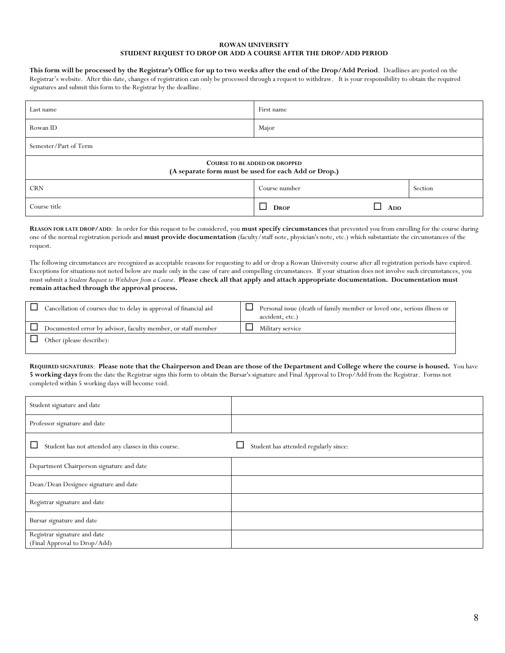#### **ROWAN UNIVERSITY STUDENT REQUEST TO DROP OR ADD A COURSE AFTER THE DROP/ADD PERIOD**

#### **This form will be processed by the Registrar's Office for up to two weeks after the end of the Drop/Add Period**. Deadlines are posted on the

Registrar's website. After this date, changes of registration can only be processed through a request to withdraw. It is your responsibility to obtain the required signatures and submit this form to the Registrar by the deadline.

| Last name                                                                                    | First name    |     |         |  |  |  |
|----------------------------------------------------------------------------------------------|---------------|-----|---------|--|--|--|
| Rowan ID                                                                                     | Major         |     |         |  |  |  |
| Semester/Part of Term                                                                        |               |     |         |  |  |  |
| <b>COURSE TO BE ADDED OR DROPPED</b><br>(A separate form must be used for each Add or Drop.) |               |     |         |  |  |  |
| <b>CRN</b>                                                                                   | Course number |     | Section |  |  |  |
| Course title                                                                                 | <b>DROP</b>   | ADD |         |  |  |  |

**REASON FOR LATE DROP/ADD**: In order for this request to be considered, you **must specify circumstances** that prevented you from enrolling for the course during one of the normal registration periods and **must provide documentation** (faculty/staff note, physician's note, etc.) which substantiate the circumstances of the request.

The following circumstances are recognized as acceptable reasons for requesting to add or drop a Rowan University course after all registration periods have expired. Exceptions for situations not noted below are made only in the case of rare and compelling circumstances. If your situation does not involve such circumstances, you must submit a *Student Request to Withdraw from a Course*. **Please check all that apply and attach appropriate documentation. Documentation must remain attached through the approval process.**

| Cancellation of courses due to delay in approval of financial aid | Personal issue (death of family member or loved one, serious illness or<br>accident, etc.) |
|-------------------------------------------------------------------|--------------------------------------------------------------------------------------------|
| Documented error by advisor, faculty member, or staff member      | Military service                                                                           |
| Other (please describe):                                          |                                                                                            |

#### **REQUIRED SIGNATURES**: **Please note that the Chairperson and Dean are those of the Department and College where the course is housed.** You have **5 working days** from the date the Registrar signs this form to obtain the Bursar's signature and Final Approval to Drop/Add from the Registrar. Forms not completed within 5 working days will become void.

| Student signature and date                                   |                                       |
|--------------------------------------------------------------|---------------------------------------|
| Professor signature and date                                 |                                       |
| Student has not attended any classes in this course.         | Student has attended regularly since: |
| Department Chairperson signature and date                    |                                       |
| Dean/Dean Designee signature and date                        |                                       |
| Registrar signature and date                                 |                                       |
| Bursar signature and date                                    |                                       |
| Registrar signature and date<br>(Final Approval to Drop/Add) |                                       |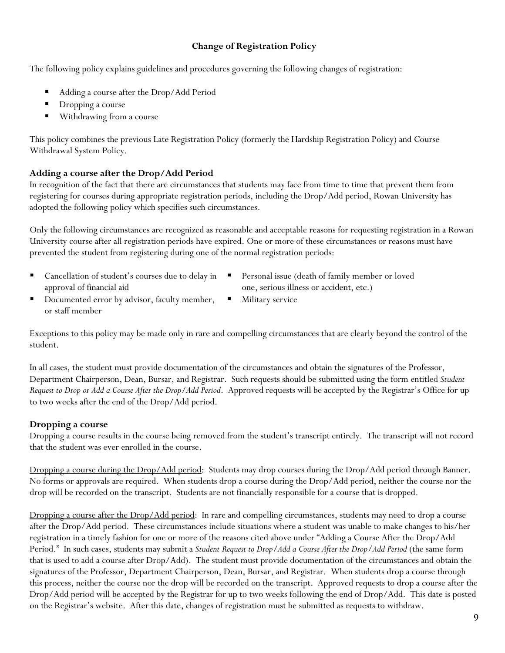# **Change of Registration Policy**

The following policy explains guidelines and procedures governing the following changes of registration:

- Adding a course after the Drop/Add Period
- **Dropping a course**
- Withdrawing from a course

This policy combines the previous Late Registration Policy (formerly the Hardship Registration Policy) and Course Withdrawal System Policy.

# **Adding a course after the Drop/Add Period**

In recognition of the fact that there are circumstances that students may face from time to time that prevent them from registering for courses during appropriate registration periods, including the Drop/Add period, Rowan University has adopted the following policy which specifies such circumstances.

Only the following circumstances are recognized as reasonable and acceptable reasons for requesting registration in a Rowan University course after all registration periods have expired. One or more of these circumstances or reasons must have prevented the student from registering during one of the normal registration periods:

- Cancellation of student's courses due to delay in approval of financial aid
- Personal issue (death of family member or loved one, serious illness or accident, etc.)
- Documented error by advisor, faculty member, or staff member
	- Military service

Exceptions to this policy may be made only in rare and compelling circumstances that are clearly beyond the control of the student.

In all cases, the student must provide documentation of the circumstances and obtain the signatures of the Professor, Department Chairperson, Dean, Bursar, and Registrar. Such requests should be submitted using the form entitled *Student Request to Drop or Add a Course After the Drop/Add Period*. Approved requests will be accepted by the Registrar's Office for up to two weeks after the end of the Drop/Add period.

# **Dropping a course**

Dropping a course results in the course being removed from the student's transcript entirely. The transcript will not record that the student was ever enrolled in the course.

Dropping a course during the Drop/Add period: Students may drop courses during the Drop/Add period through Banner. No forms or approvals are required. When students drop a course during the Drop/Add period, neither the course nor the drop will be recorded on the transcript. Students are not financially responsible for a course that is dropped.

Dropping a course after the Drop/Add period: In rare and compelling circumstances, students may need to drop a course after the Drop/Add period. These circumstances include situations where a student was unable to make changes to his/her registration in a timely fashion for one or more of the reasons cited above under "Adding a Course After the Drop/Add Period." In such cases, students may submit a *Student Request to Drop/Add a Course After the Drop/Add Period* (the same form that is used to add a course after Drop/Add). The student must provide documentation of the circumstances and obtain the signatures of the Professor, Department Chairperson, Dean, Bursar, and Registrar. When students drop a course through this process, neither the course nor the drop will be recorded on the transcript. Approved requests to drop a course after the Drop/Add period will be accepted by the Registrar for up to two weeks following the end of Drop/Add. This date is posted on the Registrar's website. After this date, changes of registration must be submitted as requests to withdraw.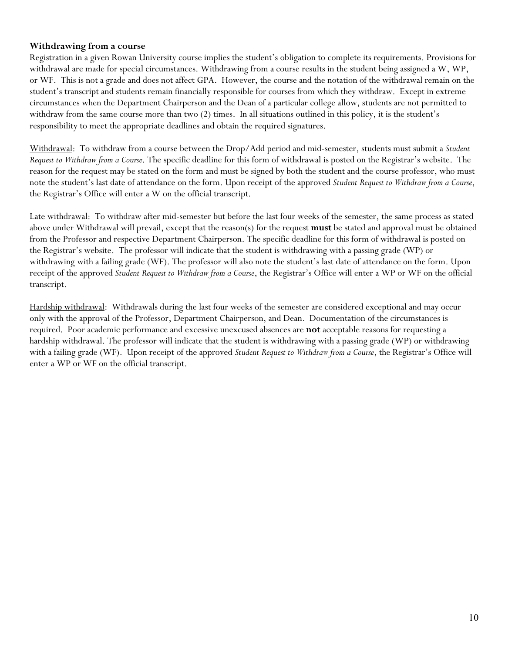## **Withdrawing from a course**

Registration in a given Rowan University course implies the student's obligation to complete its requirements. Provisions for withdrawal are made for special circumstances. Withdrawing from a course results in the student being assigned a W, WP, or WF. This is not a grade and does not affect GPA. However, the course and the notation of the withdrawal remain on the student's transcript and students remain financially responsible for courses from which they withdraw. Except in extreme circumstances when the Department Chairperson and the Dean of a particular college allow, students are not permitted to withdraw from the same course more than two (2) times. In all situations outlined in this policy, it is the student's responsibility to meet the appropriate deadlines and obtain the required signatures.

Withdrawal: To withdraw from a course between the Drop/Add period and mid-semester, students must submit a *Student Request to Withdraw from a Course*. The specific deadline for this form of withdrawal is posted on the Registrar's website. The reason for the request may be stated on the form and must be signed by both the student and the course professor, who must note the student's last date of attendance on the form. Upon receipt of the approved *Student Request to Withdraw from a Course*, the Registrar's Office will enter a W on the official transcript.

Late withdrawal: To withdraw after mid-semester but before the last four weeks of the semester, the same process as stated above under Withdrawal will prevail, except that the reason(s) for the request **must** be stated and approval must be obtained from the Professor and respective Department Chairperson. The specific deadline for this form of withdrawal is posted on the Registrar's website. The professor will indicate that the student is withdrawing with a passing grade (WP) or withdrawing with a failing grade (WF). The professor will also note the student's last date of attendance on the form. Upon receipt of the approved *Student Request to Withdraw from a Course*, the Registrar's Office will enter a WP or WF on the official transcript.

Hardship withdrawal: Withdrawals during the last four weeks of the semester are considered exceptional and may occur only with the approval of the Professor, Department Chairperson, and Dean. Documentation of the circumstances is required. Poor academic performance and excessive unexcused absences are **not** acceptable reasons for requesting a hardship withdrawal. The professor will indicate that the student is withdrawing with a passing grade (WP) or withdrawing with a failing grade (WF). Upon receipt of the approved *Student Request to Withdraw from a Course*, the Registrar's Office will enter a WP or WF on the official transcript.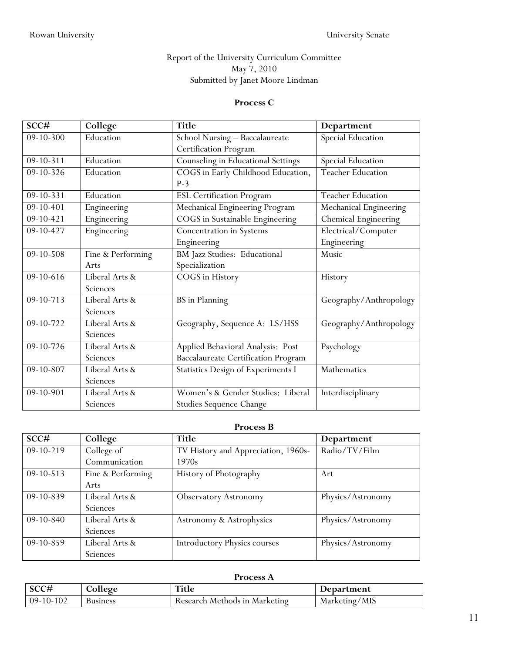# Report of the University Curriculum Committee May 7, 2010 Submitted by Janet Moore Lindman

#### **Process C**

| SCC#            | College           | <b>Title</b>                               | Department               |
|-----------------|-------------------|--------------------------------------------|--------------------------|
| $09 - 10 - 300$ | Education         | School Nursing - Baccalaureate             | Special Education        |
|                 |                   | Certification Program                      |                          |
| 09-10-311       | Education         | Counseling in Educational Settings         | Special Education        |
| 09-10-326       | Education         | COGS in Early Childhood Education,         | <b>Teacher Education</b> |
|                 |                   | $P-3$                                      |                          |
| $09 - 10 - 331$ | Education         | <b>ESL Certification Program</b>           | <b>Teacher Education</b> |
| 09-10-401       | Engineering       | Mechanical Engineering Program             | Mechanical Engineering   |
| 09-10-421       | Engineering       | COGS in Sustainable Engineering            | Chemical Engineering     |
| 09-10-427       | Engineering       | Concentration in Systems                   | Electrical/Computer      |
|                 |                   | Engineering                                | Engineering              |
| 09-10-508       | Fine & Performing | BM Jazz Studies: Educational               | Music                    |
|                 | Arts              | Specialization                             |                          |
| 09-10-616       | Liberal Arts &    | COGS in History                            | History                  |
|                 | Sciences          |                                            |                          |
| $09 - 10 - 713$ | Liberal Arts &    | <b>BS</b> in Planning                      | Geography/Anthropology   |
|                 | Sciences          |                                            |                          |
| 09-10-722       | Liberal Arts &    | Geography, Sequence A: LS/HSS              | Geography/Anthropology   |
|                 | Sciences          |                                            |                          |
| 09-10-726       | Liberal Arts &    | Applied Behavioral Analysis: Post          | Psychology               |
|                 | Sciences          | <b>Baccalaureate Certification Program</b> |                          |
| 09-10-807       | Liberal Arts &    | Statistics Design of Experiments I         | Mathematics              |
|                 | Sciences          |                                            |                          |
| 09-10-901       | Liberal Arts &    | Women's & Gender Studies: Liberal          | Interdisciplinary        |
|                 | Sciences          | <b>Studies Sequence Change</b>             |                          |

#### **Process B**

| SCC#        | College           | <b>Title</b>                        | Department        |
|-------------|-------------------|-------------------------------------|-------------------|
| $09-10-219$ | College of        | TV History and Appreciation, 1960s- | Radio/TV/Film     |
|             | Communication     | 1970s                               |                   |
| $09-10-513$ | Fine & Performing | History of Photography              | Art               |
|             | Arts              |                                     |                   |
| 09-10-839   | Liberal Arts &    | <b>Observatory Astronomy</b>        | Physics/Astronomy |
|             | Sciences          |                                     |                   |
| $09-10-840$ | Liberal Arts &    | Astronomy & Astrophysics            | Physics/Astronomy |
|             | Sciences          |                                     |                   |
| 09-10-859   | Liberal Arts &    | <b>Introductory Physics courses</b> | Physics/Astronomy |
|             | Sciences          |                                     |                   |

# **Process A**

| SCC#        | College         | <b>Title</b>                  | Department    |
|-------------|-----------------|-------------------------------|---------------|
| $09-10-102$ | <b>Business</b> | Research Methods in Marketing | Marketing/MIS |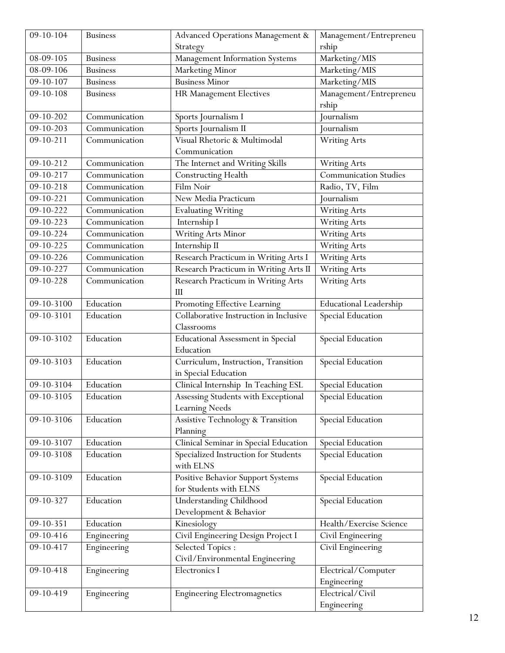| $09 - 10 - 104$ | <b>Business</b> | <b>Advanced Operations Management &amp;</b>                  | Management/Entrepreneu             |  |
|-----------------|-----------------|--------------------------------------------------------------|------------------------------------|--|
|                 |                 | Strategy                                                     | rship                              |  |
| 08-09-105       | <b>Business</b> | Management Information Systems                               | Marketing/MIS                      |  |
| 08-09-106       | <b>Business</b> | Marketing Minor                                              | Marketing/MIS                      |  |
| $09 - 10 - 107$ | <b>Business</b> | <b>Business Minor</b>                                        | Marketing/MIS                      |  |
| $09 - 10 - 108$ | <b>Business</b> | HR Management Electives                                      | Management/Entrepreneu<br>rship    |  |
| 09-10-202       | Communication   | Sports Journalism I                                          | Journalism                         |  |
| 09-10-203       | Communication   | Sports Journalism II                                         | Journalism                         |  |
| $09 - 10 - 211$ | Communication   | Visual Rhetoric & Multimodal<br>Communication                | <b>Writing Arts</b>                |  |
| $09 - 10 - 212$ | Communication   | The Internet and Writing Skills                              | Writing Arts                       |  |
| 09-10-217       | Communication   | <b>Constructing Health</b>                                   | <b>Communication Studies</b>       |  |
| $09 - 10 - 218$ | Communication   | Film Noir                                                    | Radio, TV, Film                    |  |
| 09-10-221       | Communication   | New Media Practicum                                          | Journalism                         |  |
| 09-10-222       | Communication   | <b>Evaluating Writing</b>                                    | <b>Writing Arts</b>                |  |
| 09-10-223       | Communication   | Internship I                                                 | Writing Arts                       |  |
| $09 - 10 - 224$ | Communication   | <b>Writing Arts Minor</b>                                    | <b>Writing Arts</b>                |  |
| 09-10-225       | Communication   | Internship II                                                | <b>Writing Arts</b>                |  |
| 09-10-226       | Communication   | Research Practicum in Writing Arts I                         | <b>Writing Arts</b>                |  |
| 09-10-227       | Communication   | Research Practicum in Writing Arts II                        | <b>Writing Arts</b>                |  |
| 09-10-228       | Communication   | Research Practicum in Writing Arts<br>III                    | <b>Writing Arts</b>                |  |
| 09-10-3100      | Education       | Promoting Effective Learning                                 | <b>Educational Leadership</b>      |  |
| 09-10-3101      | Education       | Collaborative Instruction in Inclusive                       | Special Education                  |  |
|                 |                 | Classrooms                                                   |                                    |  |
| 09-10-3102      | Education       | <b>Educational Assessment in Special</b><br>Education        | Special Education                  |  |
| 09-10-3103      | Education       | Curriculum, Instruction, Transition<br>in Special Education  | Special Education                  |  |
| 09-10-3104      | Education       | Clinical Internship In Teaching ESL                          | Special Education                  |  |
| 09-10-3105      | Education       | Assessing Students with Exceptional<br><b>Learning Needs</b> | Special Education                  |  |
| 09-10-3106      | Education       | Assistive Technology & Transition<br>Planning                | Special Education                  |  |
| 09-10-3107      | Education       | Clinical Seminar in Special Education                        | <b>Special Education</b>           |  |
| 09-10-3108      | Education       | Specialized Instruction for Students<br>with ELNS            | <b>Special Education</b>           |  |
| 09-10-3109      | Education       | Positive Behavior Support Systems<br>for Students with ELNS  | <b>Special Education</b>           |  |
| 09-10-327       | Education       | <b>Understanding Childhood</b><br>Development & Behavior     | <b>Special Education</b>           |  |
| $09 - 10 - 351$ | Education       | Kinesiology                                                  | Health/Exercise Science            |  |
| 09-10-416       | Engineering     | Civil Engineering Design Project I                           | Civil Engineering                  |  |
| 09-10-417       | Engineering     | Selected Topics:<br>Civil/Environmental Engineering          | Civil Engineering                  |  |
| 09-10-418       | Engineering     | Electronics I                                                | Electrical/Computer<br>Engineering |  |
| 09-10-419       | Engineering     | <b>Engineering Electromagnetics</b>                          | Electrical/Civil                   |  |
|                 |                 |                                                              | Engineering                        |  |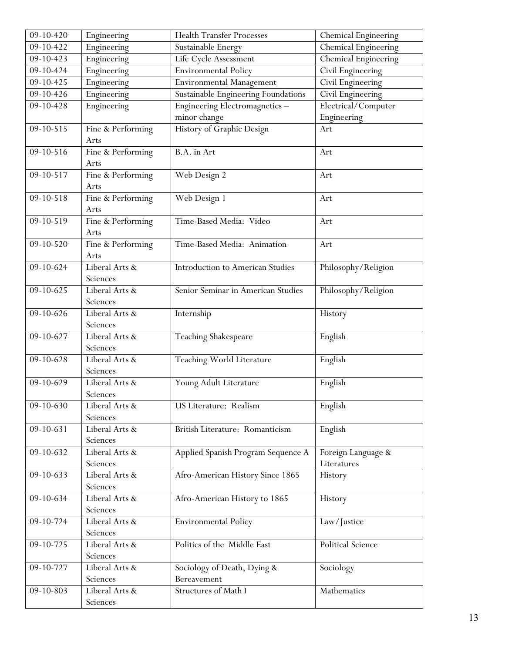| $09-10-420$     | Engineering       | <b>Health Transfer Processes</b>        | Chemical Engineering        |  |
|-----------------|-------------------|-----------------------------------------|-----------------------------|--|
| 09-10-422       | Engineering       | Sustainable Energy                      | <b>Chemical Engineering</b> |  |
| $09 - 10 - 423$ | Engineering       | Life Cycle Assessment                   | Chemical Engineering        |  |
| 09-10-424       | Engineering       | <b>Environmental Policy</b>             | Civil Engineering           |  |
| 09-10-425       | Engineering       | <b>Environmental Management</b>         | Civil Engineering           |  |
| 09-10-426       | Engineering       | Sustainable Engineering Foundations     | Civil Engineering           |  |
| 09-10-428       | Engineering       | Engineering Electromagnetics-           | Electrical/Computer         |  |
|                 |                   | minor change                            | Engineering                 |  |
| $09 - 10 - 515$ | Fine & Performing | History of Graphic Design               | Art                         |  |
|                 | Arts              |                                         |                             |  |
| 09-10-516       | Fine & Performing | B.A. in Art                             | Art                         |  |
|                 | Arts              |                                         |                             |  |
| 09-10-517       | Fine & Performing | Web Design 2                            | Art                         |  |
|                 | Arts              |                                         |                             |  |
| $09 - 10 - 518$ | Fine & Performing | Web Design 1                            | Art                         |  |
|                 | Arts              |                                         |                             |  |
| 09-10-519       | Fine & Performing | Time-Based Media: Video                 | Art                         |  |
|                 | Arts              |                                         |                             |  |
| 09-10-520       | Fine & Performing | Time-Based Media: Animation             | Art                         |  |
|                 | Arts              |                                         |                             |  |
| $09-10-624$     | Liberal Arts &    | <b>Introduction to American Studies</b> | Philosophy/Religion         |  |
|                 | Sciences          |                                         |                             |  |
| 09-10-625       | Liberal Arts &    | Senior Seminar in American Studies      | Philosophy/Religion         |  |
|                 | Sciences          |                                         |                             |  |
| 09-10-626       | Liberal Arts &    | Internship                              | History                     |  |
|                 | Sciences          |                                         |                             |  |
| 09-10-627       | Liberal Arts &    | Teaching Shakespeare                    | English                     |  |
|                 | Sciences          |                                         |                             |  |
| 09-10-628       | Liberal Arts &    | Teaching World Literature               | English                     |  |
|                 | Sciences          |                                         |                             |  |
| 09-10-629       | Liberal Arts &    | Young Adult Literature                  | English                     |  |
|                 | Sciences          |                                         |                             |  |
| 09-10-630       | Liberal Arts &    | US Literature: Realism                  | English                     |  |
|                 | Sciences          |                                         |                             |  |
| 09-10-631       | Liberal Arts &    | British Literature: Romanticism         | English                     |  |
|                 | Sciences          |                                         |                             |  |
| 09-10-632       | Liberal Arts &    | Applied Spanish Program Sequence A      | Foreign Language &          |  |
|                 | Sciences          |                                         | Literatures                 |  |
| 09-10-633       | Liberal Arts &    | Afro-American History Since 1865        | History                     |  |
|                 | Sciences          |                                         |                             |  |
| 09-10-634       | Liberal Arts &    | Afro-American History to 1865           | History                     |  |
|                 | Sciences          |                                         |                             |  |
| 09-10-724       | Liberal Arts &    | <b>Environmental Policy</b>             | Law/Justice                 |  |
|                 | Sciences          |                                         |                             |  |
| 09-10-725       | Liberal Arts &    | Politics of the Middle East             | Political Science           |  |
|                 | Sciences          |                                         |                             |  |
| 09-10-727       | Liberal Arts &    | Sociology of Death, Dying &             | Sociology                   |  |
|                 | Sciences          | Bereavement                             |                             |  |
| 09-10-803       | Liberal Arts &    | Structures of Math I                    | Mathematics                 |  |
|                 | Sciences          |                                         |                             |  |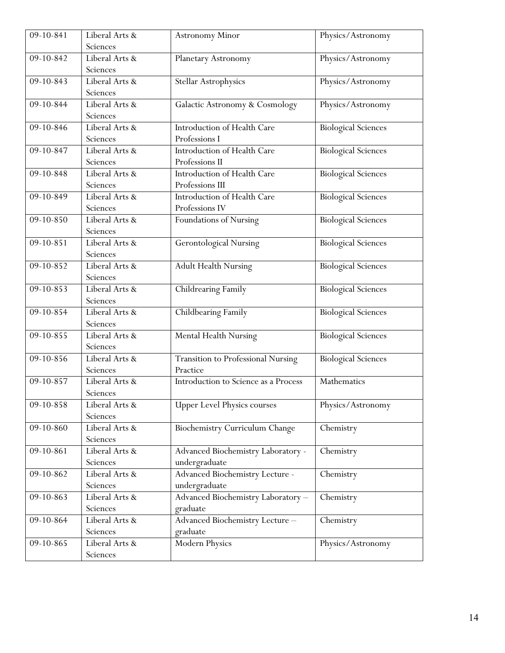| 09-10-841       | Liberal Arts &                                  | <b>Astronomy Minor</b>                    | Physics/Astronomy          |  |
|-----------------|-------------------------------------------------|-------------------------------------------|----------------------------|--|
|                 | Sciences                                        |                                           |                            |  |
| 09-10-842       | Liberal Arts &                                  | Planetary Astronomy                       | Physics/Astronomy          |  |
|                 | Sciences                                        |                                           |                            |  |
| 09-10-843       | Liberal Arts &                                  | <b>Stellar Astrophysics</b>               | Physics/Astronomy          |  |
|                 | Sciences                                        |                                           |                            |  |
| 09-10-844       | Liberal Arts &                                  | Galactic Astronomy & Cosmology            | Physics/Astronomy          |  |
|                 | Sciences                                        |                                           |                            |  |
| $09 - 10 - 846$ | Liberal Arts &                                  | Introduction of Health Care               | <b>Biological Sciences</b> |  |
|                 | Sciences                                        | Professions I                             |                            |  |
| 09-10-847       | Liberal Arts &                                  | Introduction of Health Care               | <b>Biological Sciences</b> |  |
|                 | Sciences                                        | Professions II                            |                            |  |
| 09-10-848       | Liberal Arts &                                  | Introduction of Health Care               | <b>Biological Sciences</b> |  |
|                 | Sciences                                        | Professions III                           |                            |  |
| 09-10-849       | Liberal Arts &                                  | Introduction of Health Care               | <b>Biological Sciences</b> |  |
|                 | Sciences                                        | Professions IV                            |                            |  |
| 09-10-850       | Liberal Arts &                                  | Foundations of Nursing                    | <b>Biological Sciences</b> |  |
|                 | Sciences                                        |                                           |                            |  |
| $09 - 10 - 851$ | <b>Gerontological Nursing</b><br>Liberal Arts & |                                           | <b>Biological Sciences</b> |  |
|                 | Sciences                                        |                                           |                            |  |
| 09-10-852       | Liberal Arts &                                  | <b>Adult Health Nursing</b>               | <b>Biological Sciences</b> |  |
|                 | Sciences                                        |                                           |                            |  |
| 09-10-853       | Liberal Arts &                                  | Childrearing Family                       | <b>Biological Sciences</b> |  |
|                 | Sciences                                        |                                           |                            |  |
| $09-10-854$     | Liberal Arts &                                  | Childbearing Family                       | <b>Biological Sciences</b> |  |
|                 | Sciences                                        |                                           |                            |  |
| 09-10-855       | Liberal Arts &                                  | Mental Health Nursing                     | <b>Biological Sciences</b> |  |
|                 | Sciences                                        |                                           |                            |  |
| 09-10-856       | Liberal Arts &                                  | <b>Transition to Professional Nursing</b> | <b>Biological Sciences</b> |  |
|                 | Sciences                                        | Practice                                  |                            |  |
| 09-10-857       | Liberal Arts &                                  | Introduction to Science as a Process      | Mathematics                |  |
|                 | Sciences                                        |                                           |                            |  |
| 09-10-858       | Liberal Arts &                                  | <b>Upper Level Physics courses</b>        | Physics/Astronomy          |  |
|                 | Sciences                                        |                                           |                            |  |
| 09-10-860       | Liberal Arts &                                  | Biochemistry Curriculum Change            | Chemistry                  |  |
|                 | Sciences                                        |                                           |                            |  |
| 09-10-861       | Liberal Arts &                                  | Advanced Biochemistry Laboratory -        | Chemistry                  |  |
|                 | Sciences                                        | undergraduate                             |                            |  |
| 09-10-862       | Liberal Arts &                                  | Advanced Biochemistry Lecture -           | Chemistry                  |  |
|                 | Sciences<br>Liberal Arts &                      | undergraduate                             |                            |  |
| 09-10-863       | Sciences                                        | Advanced Biochemistry Laboratory-         | Chemistry                  |  |
|                 |                                                 | graduate                                  |                            |  |
| 09-10-864       | Liberal Arts &<br>Sciences                      | Advanced Biochemistry Lecture-            | Chemistry                  |  |
|                 |                                                 | graduate                                  |                            |  |
| $09 - 10 - 865$ | Liberal Arts &                                  | <b>Modern Physics</b>                     | Physics/Astronomy          |  |
|                 | Sciences                                        |                                           |                            |  |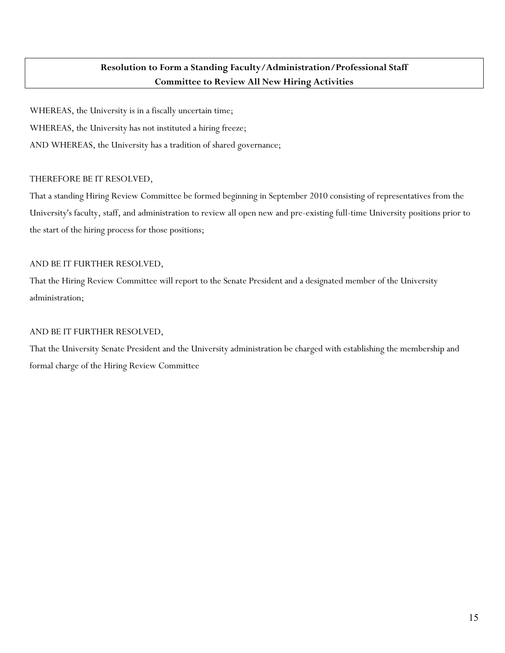# **Resolution to Form a Standing Faculty/Administration/Professional Staff Committee to Review All New Hiring Activities**

WHEREAS, the University is in a fiscally uncertain time; WHEREAS, the University has not instituted a hiring freeze; AND WHEREAS, the University has a tradition of shared governance;

### THEREFORE BE IT RESOLVED,

That a standing Hiring Review Committee be formed beginning in September 2010 consisting of representatives from the University's faculty, staff, and administration to review all open new and pre-existing full-time University positions prior to the start of the hiring process for those positions;

### AND BE IT FURTHER RESOLVED,

That the Hiring Review Committee will report to the Senate President and a designated member of the University administration;

## AND BE IT FURTHER RESOLVED,

That the University Senate President and the University administration be charged with establishing the membership and formal charge of the Hiring Review Committee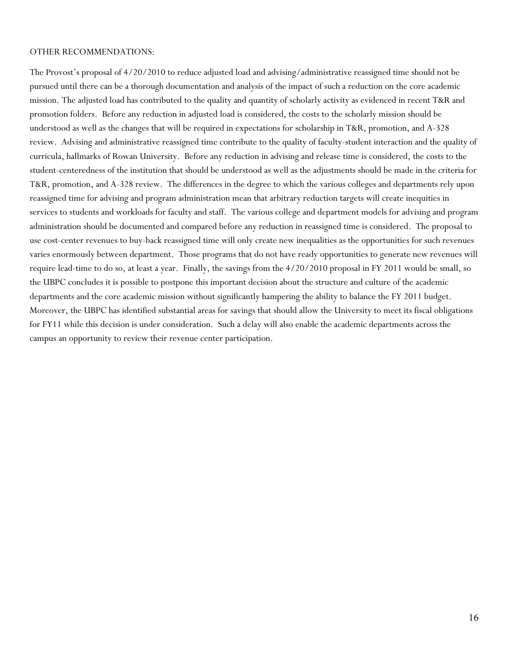#### OTHER RECOMMENDATIONS:

The Provost's proposal of 4/20/2010 to reduce adjusted load and advising/administrative reassigned time should not be pursued until there can be a thorough documentation and analysis of the impact of such a reduction on the core academic mission. The adjusted load has contributed to the quality and quantity of scholarly activity as evidenced in recent T&R and promotion folders. Before any reduction in adjusted load is considered, the costs to the scholarly mission should be understood as well as the changes that will be required in expectations for scholarship in T&R, promotion, and A-328 review. Advising and administrative reassigned time contribute to the quality of faculty-student interaction and the quality of curricula, hallmarks of Rowan University. Before any reduction in advising and release time is considered, the costs to the student-centeredness of the institution that should be understood as well as the adjustments should be made in the criteria for T&R, promotion, and A-328 review. The differences in the degree to which the various colleges and departments rely upon reassigned time for advising and program administration mean that arbitrary reduction targets will create inequities in services to students and workloads for faculty and staff. The various college and department models for advising and program administration should be documented and compared before any reduction in reassigned time is considered. The proposal to use cost-center revenues to buy-back reassigned time will only create new inequalities as the opportunities for such revenues varies enormously between department. Those programs that do not have ready opportunities to generate new revenues will require lead-time to do so, at least a year. Finally, the savings from the 4/20/2010 proposal in FY 2011 would be small, so the UBPC concludes it is possible to postpone this important decision about the structure and culture of the academic departments and the core academic mission without significantly hampering the ability to balance the FY 2011 budget. Moreover, the UBPC has identified substantial areas for savings that should allow the University to meet its fiscal obligations for FY11 while this decision is under consideration. Such a delay will also enable the academic departments across the campus an opportunity to review their revenue center participation.